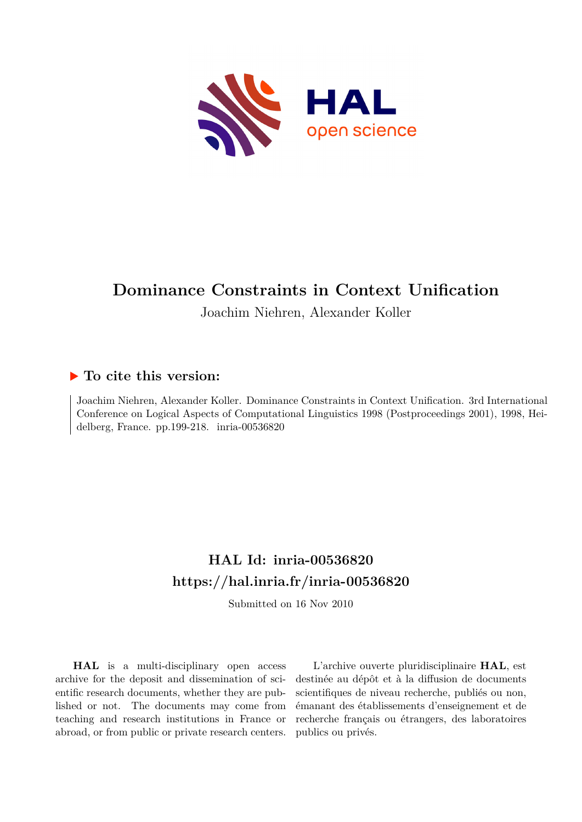

# **Dominance Constraints in Context Unification**

Joachim Niehren, Alexander Koller

# **To cite this version:**

Joachim Niehren, Alexander Koller. Dominance Constraints in Context Unification. 3rd International Conference on Logical Aspects of Computational Linguistics 1998 (Postproceedings 2001), 1998, Heidelberg, France. pp.199-218.  $inria-00536820$ 

# **HAL Id: inria-00536820 <https://hal.inria.fr/inria-00536820>**

Submitted on 16 Nov 2010

**HAL** is a multi-disciplinary open access archive for the deposit and dissemination of scientific research documents, whether they are published or not. The documents may come from teaching and research institutions in France or abroad, or from public or private research centers.

L'archive ouverte pluridisciplinaire **HAL**, est destinée au dépôt et à la diffusion de documents scientifiques de niveau recherche, publiés ou non, émanant des établissements d'enseignement et de recherche français ou étrangers, des laboratoires publics ou privés.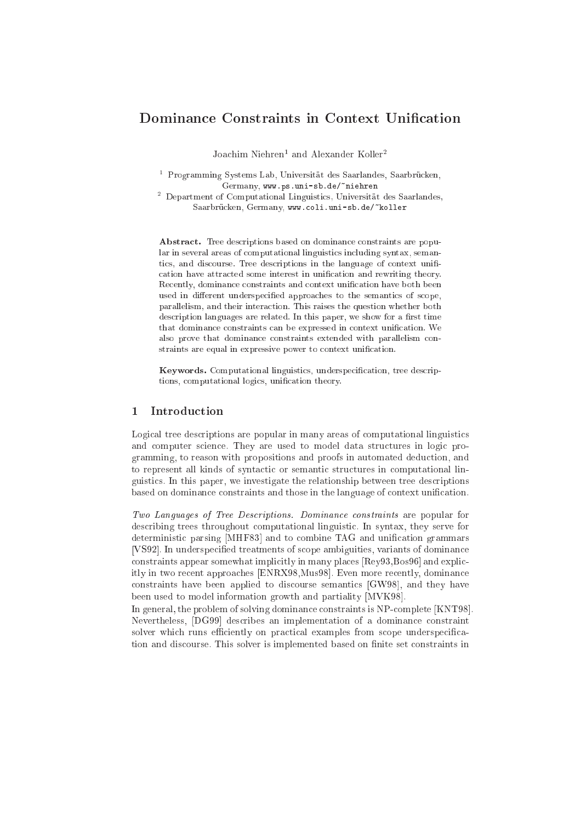## Dominance Constraints in Context Unification

Joachum Niehren – and Alexander Koller-

ter Programming Systems Lab, Universitat des Saarlandes, Saarbrucken, " Germany, www.ps.uni-sb.de/~niehren

<sup>2</sup> Department of Computational Linguisti
s, Universitat des Saarlandes, Saarbrücken, Germany, www.coli.uni-sb.de/"koller

Abstract. Tree descriptions based on dominance constraints are popular in several areas of computational linguistics including syntax, semantime, there were discussed to the language of the language of the language of the complete of the language of cation have attracted some interest in unification and rewriting theory. Recently, dominance constraints and context unification have both been used in different underspecified approaches to the semantics of scope, parallelism, and their interaction. This raises the question whether both description languages are related. In this paper, we show for a first time that dominance constraints can be expressed in context unification. We also prove that dominance constraints extended with parallelism constraints are equal in expressive power to context unification.

Keywords. Computational linguistics, underspecification, tree descriptions, computational logics, unification theory.

#### **Introduction**  $\mathbf{1}$

Logical tree descriptions are popular in many areas of computational linguistics and computer science. They are used to model data structures in logic programming, to reason with propositions and proofs in automated dedu
tion, and to represent all kinds of syntactic or semantic structures in computational linguisti
s. In this paper, we investigate the relationship between tree des
riptions based on dominance constraints and those in the language of context unification.

Two Languages of Tree Descriptions. Dominance constraints are popular for des
ribing trees throughout omputational linguisti
. In syntax, they serve for deterministic parsing [MHF83] and to combine TAG and unification grammars [VS92]. In underspecified treatments of scope ambiguities, variants of dominance  $\frac{1}{10}$  constraints appear somewhat implicitly in many places [Rey93, Bos96] and explicitly in two recent approaches [ENRX98,Mus98]. Even more recently, dominance constraints have been applied to discourse semantics  $[GW98]$ , and they have been used to model information growth and partiality [MVK98].

In general, the problem of solving dominance constraints is NP-complete [KNT98]. Nevertheless, [DG99] describes an implementation of a dominance constraint solver which runs efficiently on practical examples from scope underspecification and discourse. This solver is implemented based on finite set constraints in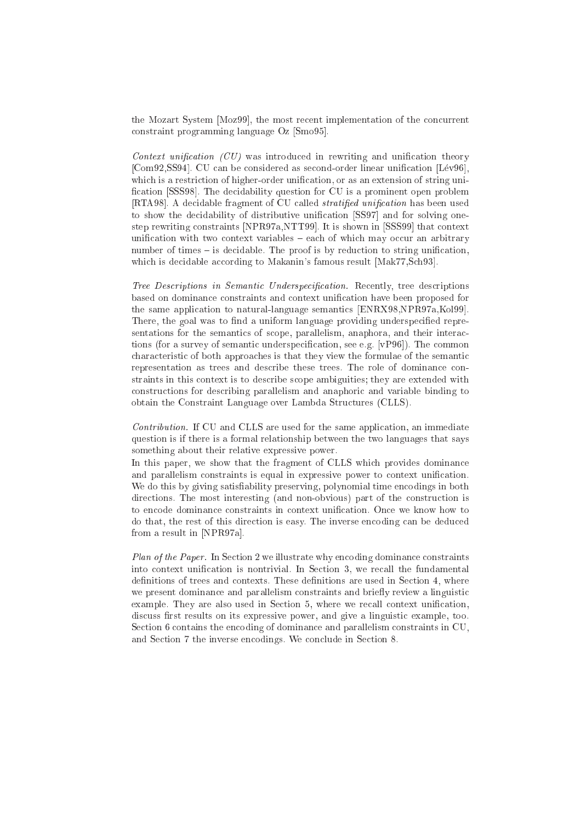the Mozart System [Moz99], the most recent implementation of the concurrent constraint programming language  $Oz$  [Smo95].

Context unification  $(CU)$  was introduced in rewriting and unification theory [Com92,SS94]. CU can be considered as second-order linear unification [Lév96]. which is a restriction of higher-order unification, or as an extension of string unification [SSS98]. The decidability question for CU is a prominent open problem [RTA98]. A decidable fragment of CU called *stratified unification* has been used to show the decidability of distributive unification [SS97] and for solving onestep rewriting constraints [NPR97a,NTT99]. It is shown in [SSS99] that context unification with two context variables – each of which may occur an arbitrary number of times – is decidable. The proof is by reduction to string unification, which is decidable according to Makanin's famous result [Mak77,Sch93].

Tree Descriptions in Semantic Underspecification. Recently, tree descriptions based on dominan
e onstraints and ontext uni
ation have been proposed for the same application to natural-language semantics [ENRX98,NPR97a,Kol99]. There, the goal was to find a uniform language providing underspecified representations for the semantics of scope, parallelism, anaphora, and their interactions (for a survey of semantic underspecification, see e.g. [vP96]). The common characteristic of both approaches is that they view the formulae of the semantic representation as trees and describe these trees. The role of dominance constraints in this ontext is to des
ribe s
ope ambiguities; they are extended with onstru
tions for des
ribing parallelism and anaphori and variable binding to obtain the Constraint Language over Lambda Stru
tures (CLLS).

Contribution. If CU and CLLS are used for the same application, an immediate question is if there is a formal relationship between the two languages that says something about their relative expressive power.

In this paper, we show that the fragment of CLLS which provides dominance and parallelism constraints is equal in expressive power to context unification. We do this by giving satisfiability preserving, polynomial time encodings in both directions. The most interesting (and non-obvious) part of the construction is to encode dominance constraints in context unification. Once we know how to do that, the rest of this direction is easy. The inverse encoding can be deduced from a result in [NPR97a].

Plan of the Paper. In Section 2 we illustrate why encoding dominance constraints into context unification is nontrivial. In Section 3, we recall the fundamental definitions of trees and contexts. These definitions are used in Section 4, where we present dominance and parallelism constraints and briefly review a linguistic example. They are also used in Section 5, where we recall context unification, discuss first results on its expressive power, and give a linguistic example, too. Section 6 contains the encoding of dominance and parallelism constraints in CU, and Section 7 the inverse encodings. We conclude in Section 8.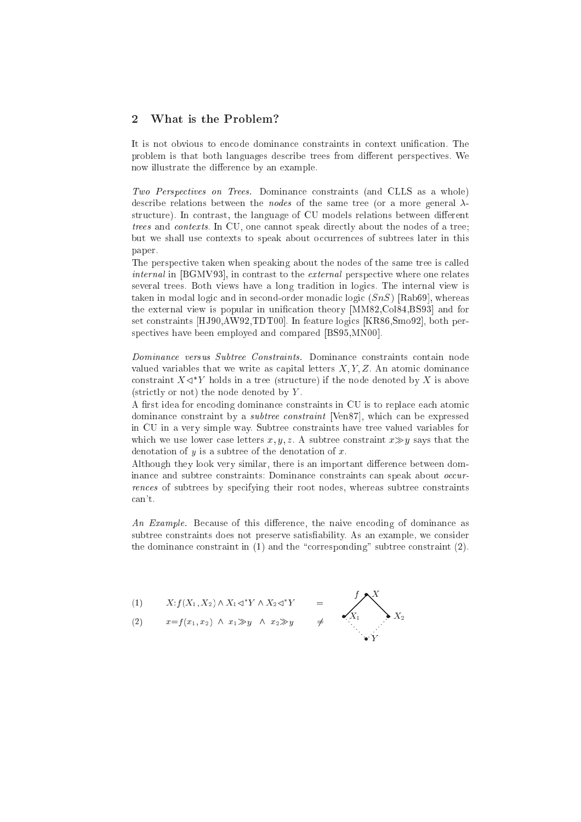## <sup>2</sup> What is the Problem?

It is not obvious to encode dominance constraints in context unification. The problem is that both languages describe trees from different perspectives. We now illustrate the difference by an example.

Two Perspectives on Trees. Dominance constraints (and CLLS as a whole) describe relations between the *nodes* of the same tree (or a more general  $\lambda$ structure). In contrast, the language of CU models relations between different trees and contexts. In CU, one cannot speak directly about the nodes of a tree; but we shall use contexts to speak about occurrences of subtrees later in this paper.

The perspective taken when speaking about the nodes of the same tree is called  $internal$  in [BGMV93], in contrast to the *external* perspective where one relates several trees. Both views have a long tradition in logi
s. The internal view is taken in modal logic and in second-order monadic logic  $(SnS)$  [Rab69], whereas the external view is popular in unification theory [MM82, Col84, BS93] and for set constraints [HJ90,AW92,TDT00]. In feature logics [KR86,Smo92], both perspectives have been employed and compared [BS95,MN00].

Dominance versus Subtree Constraints. Dominance constraints contain node valued variables that we write as capital letters  $X, Y, Z$ . An atomic dominance constraint  $A \triangleleft I$  from a tree (structure) if the node denoted by  $A$  is above  $(\text{strictly or not})$  the node denoted by Y.

A first idea for encoding dominance constraints in CU is to replace each atomic dominance constraint by a *subtree constraint* [Ven87], which can be expressed in CU in a very simple way. Subtree onstraints have tree valued variables for which we use lower case letters x, y, z. A subtree constraint  $x \gg y$  says that the denotation of y is a subtree of the denotation of x.

Although they look very similar, there is an important difference between dominance and subtree constraints: Dominance constraints can speak about *occur*rences of subtrees by specifying their root nodes, whereas subtree constraints an't.

An Example. Because of this difference, the naive encoding of dominance as subtree constraints does not preserve satisfiability. As an example, we consider the dominance constraint in  $(1)$  and the "corresponding" subtree constraint  $(2)$ .

$$
(1) \qquad X \colon f(X_1, X_2) \wedge X_1 \lhd^* Y \wedge X_2 \lhd^* Y
$$

(2)  $x=f(x_1, x_2) \land x_1 \gg y \land x_2 \gg y \neq$ 

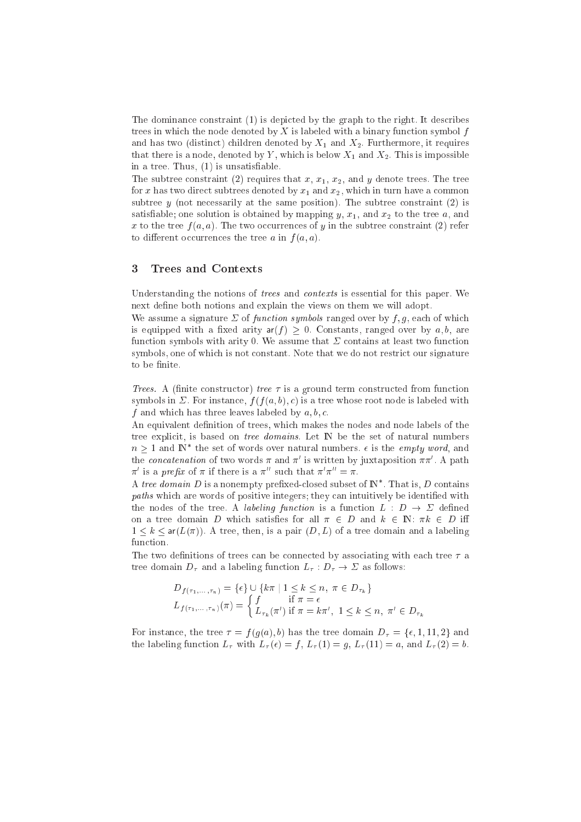The dominance constraint (1) is depicted by the graph to the right. It describes trees in which the node denoted by X is labeled with a binary function symbol  $f$ and has two (distinct) children denoted by  $X_1$  and  $X_2$ . Furthermore, it requires that there is a node, denoted by Y, which is below  $X_1$  and  $X_2$ . This is impossible in a tree. Thus,  $(1)$  is unsatisfiable.

The subtree constraint (2) requires that  $x, x_1, x_2$ , and y denote trees. The tree for x has two direct subtrees denoted by  $x_1$  and  $x_2$ , which in turn have a common subtree  $y$  (not necessarily at the same position). The subtree constraint (2) is satisfiable; one solution is obtained by mapping  $y, x_1$ , and  $x_2$  to the tree  $a$ , and  $\mathbf{u}$ . The tree f (a). The two other f (a). The subtree f (a) referred to the subtree f (a) referred to the subtree f (a) referred to  $\mathbf{u}$ to different occurrences the tree a in  $f(a, a)$ .

#### 3 <sup>3</sup> Trees and Contexts

Understanding the notions of *trees* and *contexts* is essential for this paper. We next define both notions and explain the views on them we will adopt.

We assume a signature  $\Sigma$  of function symbols ranged over by f, g, each of which is equipped with a fixed arity  $ar(f) > 0$ . Constants, ranged over by a, b, are function symbols with arity 0. We assume that  $\Sigma$  contains at least two function symbols, one of which is not constant. Note that we do not restrict our signature to be finite.

Trees. A (finite constructor) tree  $\tau$  is a ground term constructed from function symbols in  $\Sigma$ . For instance,  $f(f(a, b), c)$  is a tree whose root node is labeled with f and whi
h has three leaves labeled by a; b; 
.

An equivalent definition of trees, which makes the nodes and node labels of the tree explicit, is based on *tree domains*. Let N be the set of natural numbers  $n \geq 1$  and IN the set of words over natural numbers.  $\epsilon$  is the *empty word*, and the *concatenation* of two words  $\pi$  and  $\pi$  is written by juxtaposition  $\pi\pi$  . A path  $\pi$  is a *preju* of  $\pi$  if there is a  $\pi$  such that  $\pi$   $\pi$   $\pi$   $\pi$ .

A tree domain  $D$  is a nonempty prenxed-closed subset of IN  $\,$  . That is,  $D$  contains paths which are words of positive integers; they can intuitively be identified with the nodes of the tree. A *labeling function* is a function  $L : D \to \Sigma$  defined on a tree domain D which satisfies for all  $\pi \in D$  and  $k \in \mathbb{N}$ :  $\pi k \in D$  iff  $1 \leq k \leq \text{ar}(L(\pi))$ . A tree, then, is a pair  $(D, L)$  of a tree domain and a labeling function.

The two definitions of trees can be connected by associating with each tree  $\tau$  a tree domain  $D_{\tau}$  and a labeling function  $L_{\tau}: D_{\tau} \to \Sigma$  as follows:

$$
D_{f(\tau_1,\ldots,\tau_n)} = \{\epsilon\} \cup \{k\pi \mid 1 \leq k \leq n, \ \pi \in D_{\tau_k}\}
$$
  

$$
L_{f(\tau_1,\ldots,\tau_n)}(\pi) = \begin{cases} f & \text{if } \pi = \epsilon \\ L_{\tau_k}(\pi') & \text{if } \pi = k\pi', \ 1 \leq k \leq n, \ \pi' \in D_{\tau_k} \end{cases}
$$

For instance, the tree  $\tau = f(g(a), b)$  has the tree domain  $D_{\tau} = {\epsilon, 1, 11, 2}$  and the labeling function  $L_{\tau}$  with  $L_{\tau}(\epsilon) = f$ ,  $L_{\tau}(1) = g$ ,  $L_{\tau}(11) = a$ , and  $L_{\tau}(2) = b$ .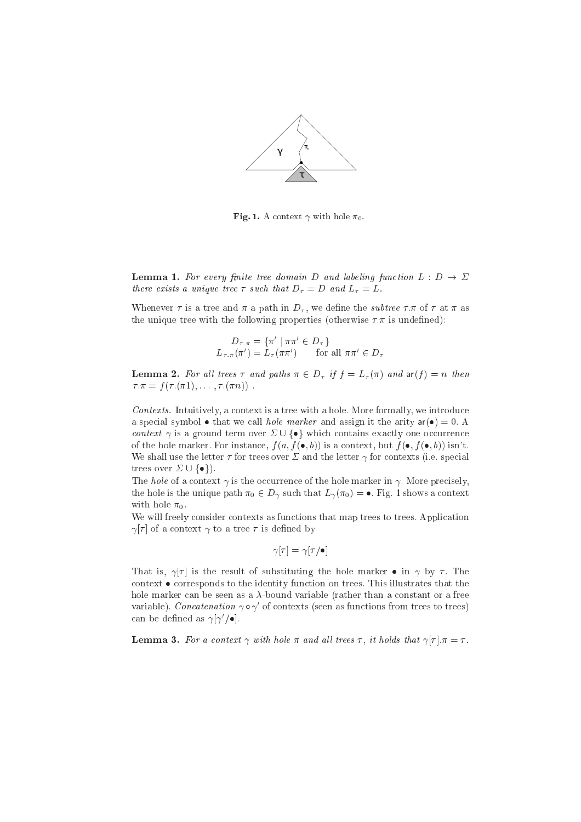

Fig. 1. A context  $\gamma$  with hole  $\pi_0$ .

**Lemma 1.** For every finite tree domain D and labeling function  $L : D \to \Sigma$ there exists a unique tree  $\tau$  such that  $D_{\tau} = D$  and  $L_{\tau} = L$ .

Whenever  $\tau$  is a tree and  $\pi$  a path in  $D_{\tau}$ , we define the *subtree*  $\tau$ .  $\pi$  of  $\tau$  at  $\pi$  as the unique tree with the following properties (otherwise  $\tau \pi$  is undefined):

$$
D_{\tau,\pi} = \{ \pi' \mid \pi\pi' \in D_{\tau} \}
$$
  

$$
L_{\tau,\pi}(\pi') = L_{\tau}(\pi\pi')
$$
 for all  $\pi\pi' \in D_{\tau}$ 

**Lemma 2.** For all trees  $\tau$  and paths  $\pi \in D_{\tau}$  if  $f = L_{\tau}(\pi)$  and  $\text{ar}(f) = n$  then : = <sup>f</sup> ( :(1); : : : ; :(n)) :

Contexts. Intuitively, a context is a tree with a hole. More formally, we introduce a special symbol  $\bullet$  that we call *hole marker* and assign it the arity  $ar(\bullet) = 0$ . A context  $\gamma$  is a ground term over  $\Sigma \cup \{\bullet\}$  which contains exactly one occurrence of the hole marker. For instance,  $f(a, f(\bullet, b))$  is a context, but  $f(\bullet, f(\bullet, b))$  isn't. We shall use the letter  $\tau$  for trees over  $\Sigma$  and the letter  $\gamma$  for contexts (i.e. special trees over  $\Sigma \cup \{\bullet\}$ .

The hole of a context  $\gamma$  is the occurrence of the hole marker in  $\gamma$ . More precisely, the hole is the unique path  $\pi_0 \in D_\gamma$  such that  $L_\gamma(\pi_0) = \bullet$ . Fig. 1 shows a context with hole  $\pi_0$ .

We will freely consider contexts as functions that map trees to trees. Application  $\gamma[\tau]$  of a context  $\gamma$  to a tree  $\tau$  is defined by

$$
\gamma[\tau]=\gamma[\tau/\bullet]
$$

That is,  $\gamma[\tau]$  is the result of substituting the hole marker  $\bullet$  in  $\gamma$  by  $\tau$ . The context  $\bullet$  corresponds to the identity function on trees. This illustrates that the hole marker can be seen as a  $\lambda$ -bound variable (rather than a constant or a free variable). C*oncatenation*  $\gamma \circ \gamma$  of contexts (seen as functions from trees to trees) can be denned as  $\gamma_{\parallel}\gamma_{\parallel}$  ,  $\bullet$  .

**Lemma 3.** For a context  $\gamma$  with hole  $\pi$  and all trees  $\tau$ , it holds that  $\gamma[\tau], \pi = \tau$ .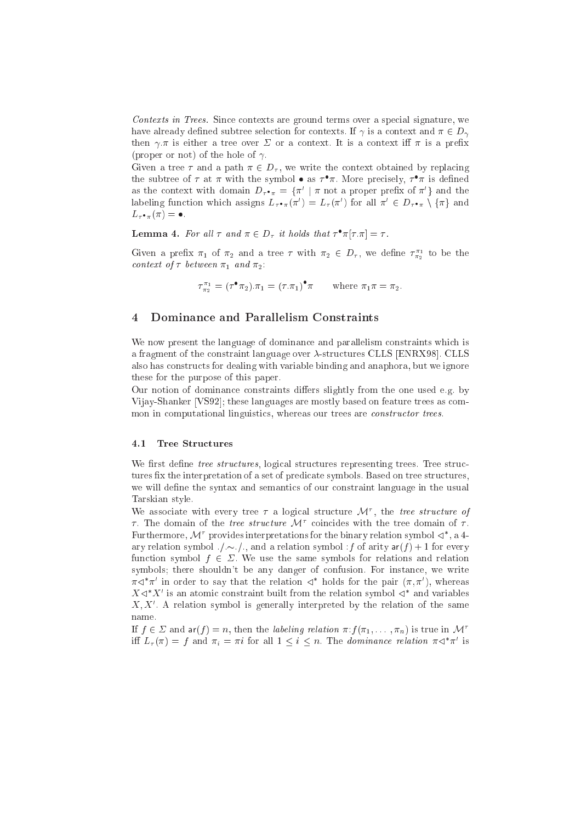Contexts in Trees. Since contexts are ground terms over a special signature, we have already defined subtree selection for contexts. If  $\gamma$  is a context and  $\pi \in D_{\gamma}$ then  $\gamma.\pi$  is either a tree over  $\Sigma$  or a context. It is a context iff  $\pi$  is a prefix (proper or not) of the hole of  $\gamma$ .

Given a tree  $\tau$  and a path  $\pi \in D_{\tau}$ , we write the context obtained by replacing the subtree of  $\tau$  at  $\pi$  with the symbol  $\bullet$  as  $\tau$   $\pi$ . More precisely,  $\tau$   $\pi$  is defined as the context with domain  $D_{\tau^{\bullet}\pi} = \{ \pi \mid \pi \text{ not a proper prefix of } \pi \}$  and the labeling function which assigns  $L_{\tau} \cdot_{\pi} (\pi) = L_{\tau} (\pi)$  for all  $\pi \in D_{\tau} \cdot_{\pi} \setminus {\pi}$  and  $L_{\tau \bullet \pi}(\pi) = \bullet.$ 

**Lemma 4.** For all  $\tau$  and  $\pi \in D_{\tau}$  it holds that  $\tau$   $\pi$  $|\tau,\pi| = \tau$ .

Given a preix  $\pi_1$  of  $\pi_2$  and a tree  $\tau$  with  $\pi_2 \in D_{\tau}$ , we define  $\tau_{\pi_2}^*$  to be the 2 context of  $\tau$  between  $\pi_1$  and  $\pi_2$ :

$$
\tau_{\pi_2}^{\pi_1} = (\tau^{\bullet} \pi_2) . \pi_1 = (\tau . \pi_1)^{\bullet} \pi \quad \text{where } \pi_1 \pi = \pi_2.
$$

### <sup>4</sup> Dominan
e and Parallelism Constraints

We now present the language of dominance and parallelism constraints which is a fragment of the constraint language over  $\lambda$ -structures CLLS [ENRX98]. CLLS also has onstru
ts for dealing with variable binding and anaphora, but we ignore these for the purpose of this paper.

Our notion of dominance constraints differs slightly from the one used e.g. by Vijay-Shanker [VS92]; these languages are mostly based on feature trees as common in computational linguistics, whereas our trees are *constructor trees*.

#### 4.1 Tree Stru
tures

We first define tree structures, logical structures representing trees. Tree structures fix the interpretation of a set of predicate symbols. Based on tree structures, we will define the syntax and semantics of our constraint language in the usual Tarskian style.

We associate with every tree  $\tau$  a logical structure  $\mathcal{M}$ , the tree structure of  $\tau$ . The domain of the *tree structure JV* conicides with the tree domain of  $\tau$ . **Purthermore,** *N* provides interpretations for the binary relation symbol  $\triangleleft$  , a 4ary relation symbol  $\ldots$ , and a relation symbol  $f$  of arity  $ar(f) + 1$  for every function symbol  $f \in \Sigma$ . We use the same symbols for relations and relation symbols; there shouldn't be any danger of confusion. For instance, we write  $\pi$   $\lnot$   $\pi$  . In order to say that the relation  $\lnot$  -holds for the pair  $(\pi,\pi$  ), whereas  $\Lambda \triangleleft \Lambda$  is an atomic constraint built from the relation symbol  $\triangleleft \Lambda$  and variables  $\Lambda, \Lambda$  . A relation symbol is generally interpreted by the relation of the same

If  $f \in \Sigma$  and  $\mathsf{ar}(f) = n$ , then the *labeling relation*  $\pi: f(\pi_1, \ldots, \pi_n)$  is true in  $\mathcal{M}^{\tau}$ in  $L_{\tau}(\pi) = f$  and  $\pi_i = \pi i$  for all  $1 \leq i \leq n$ . The dominance relation  $\pi \triangleleft \pi$  is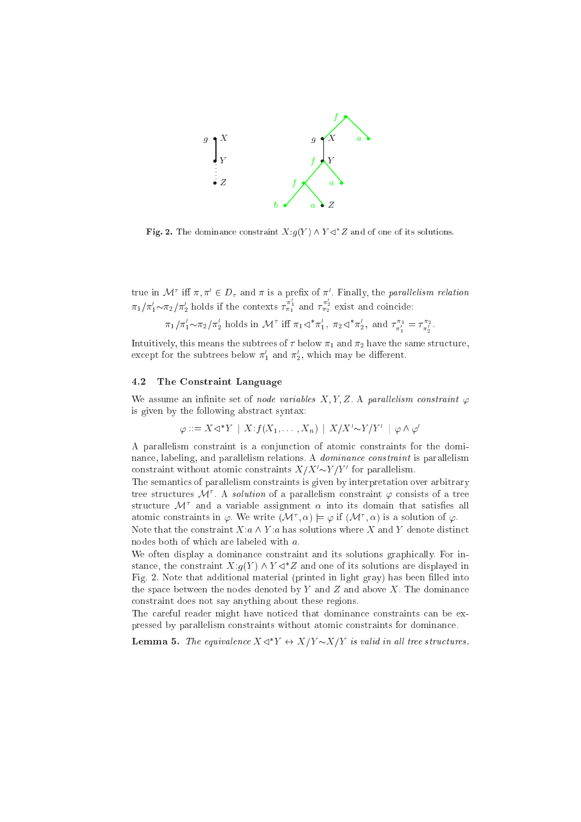

**Fig. 2.** The dominance constraint  $X:g(Y) \wedge Y \leq Z$  and of one of its solutions.

true in M in  $\pi, \pi \in D_{\tau}$  and  $\pi$  is a prenx of  $\pi$  . Finally, the parallelism relation  $\pi_1/\pi'_1 \sim \pi_2/\pi'_2$  holds if the contexts  $\tau_{\pi_1}^{\pi_1}$  and  $\tau_{\pi_2}^{\pi_2}$  exist and coincide:

$$
\pi_1/\pi'_1 \sim \pi_2/\pi'_2
$$
 holds in  $\mathcal{M}^{\tau}$  iff  $\pi_1 \lhd^* \pi'_1$ ,  $\pi_2 \lhd^* \pi'_2$ , and  $\tau_{\pi'_1}^{\pi_1} = \tau_{\pi'_2}^{\pi_2}$ .

 $-$ 

Intuitively, this means the subtrees of  $\tau$  below  $\pi_1$  and  $\pi_2$  have the same structure, except for the subtrees below  $\pi_1$  and  $\pi_2$ , which may be different.

## 4.2 The Constraint Language

We assume an infinite set of node variables X, Y, Z. A parallelism constraint  $\varphi$ is given by the following abstra
t syntax:

$$
\varphi ::= X \triangleleft^* Y \mid X : f(X_1, \dots, X_n) \mid X / X' \sim Y / Y' \mid \varphi \land \varphi'
$$

A parallelism constraint is a conjunction of atomic constraints for the dominance, labeling, and parallelism relations. A *dominance constraint* is parallelism constraint without atomic constraints  $\Lambda/\Lambda \sim I/I$  for parallelism.

The semantics of parallelism constraints is given by interpretation over arbitrary tree structures  $\mathcal{M}'$  . A *solution* of a parallelism constraint  $\varphi$  consists of a tree  $\frac{\text{surface}}{\text{value}}$  and a variable assignment  $\alpha$  into its domain that satisfies all atomic constraints in  $\varphi$ . We write  $(\mathcal{M}', \alpha) \models \varphi$  if  $(\mathcal{M}', \alpha)$  is a solution of  $\varphi$ .

Note that the constraint  $X: a \wedge Y: a$  has solutions where X and Y denote distinct nodes both of whi
h are labeled with a.

We often display a dominance constraint and its solutions graphically. For instance, the constraint  $\Lambda$ : $g(T)$   $\wedge$   $T \leq 2$  and one of its solutions are displayed in Fig. 2. Note that additional material (printed in light gray) has been filled into the space between the nodes denoted by Y and Z and above X. The dominance onstraint does not say anything about these regions.

The careful reader might have noticed that dominance constraints can be expressed by parallelism constraints without atomic constraints for dominance.

**Lemma 5.** The equivalence  $X \triangleleft Y \leftrightarrow X/Y \sim X/Y$  is valid in all tree structures.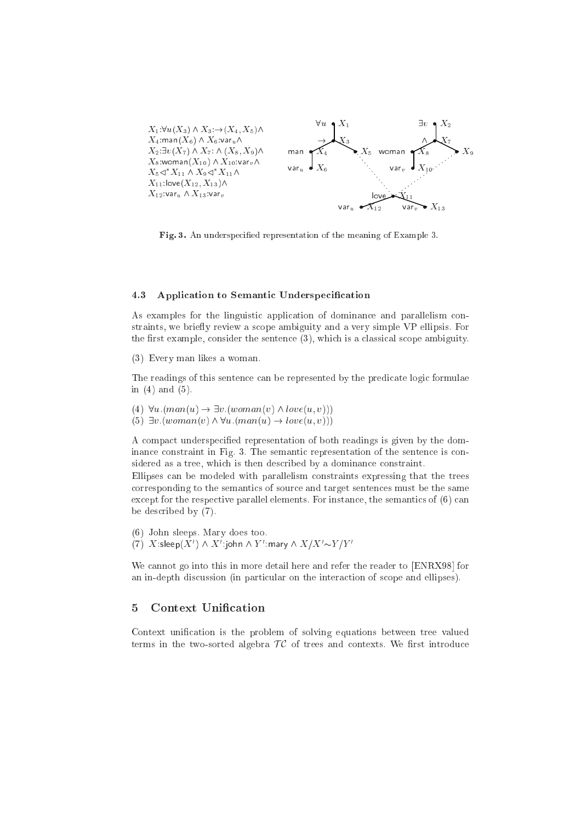

Fig. 3. An underspecified representation of the meaning of Example 3.

#### 4.3 Application to Semantic Underspecification

As examples for the linguistic application of dominance and parallelism constraints, we briefly review a scope ambiguity and a very simple VP ellipsis. For the first example, consider the sentence  $(3)$ , which is a classical scope ambiguity.

(3) Every man likes a woman.

The readings of this sentence can be represented by the predicate logic formulae in  $(4)$  and  $(5)$ .

(4)  $\forall u. (man(u) \rightarrow \exists v. (woman(v) \land love(u, v)))$ 

(5)  $\exists v. (woman(v) \land \forall u. (man(u) \rightarrow love(u, v)))$ 

A compact underspecified representation of both readings is given by the dominance constraint in Fig. 3. The semantic representation of the sentence is considered as a tree, which is then described by a dominance constraint.

Ellipses can be modeled with parallelism constraints expressing that the trees corresponding to the semantics of source and target sentences must be the same except for the respective parallel elements. For instance, the semantics of  $(6)$  can be described by (7).

(6) John sleeps. Mary does too. (7) X:sleep(X')  $\wedge$  X':john  $\wedge$  Y':mary  $\wedge$  X/X'~Y/Y'

We cannot go into this in more detail here and refer the reader to [ENRX98] for an in-depth discussion (in particular on the interaction of scope and ellipses).

#### $\overline{5}$ **Context Unification**

Context unification is the problem of solving equations between tree valued terms in the two-sorted algebra  $TC$  of trees and contexts. We first introduce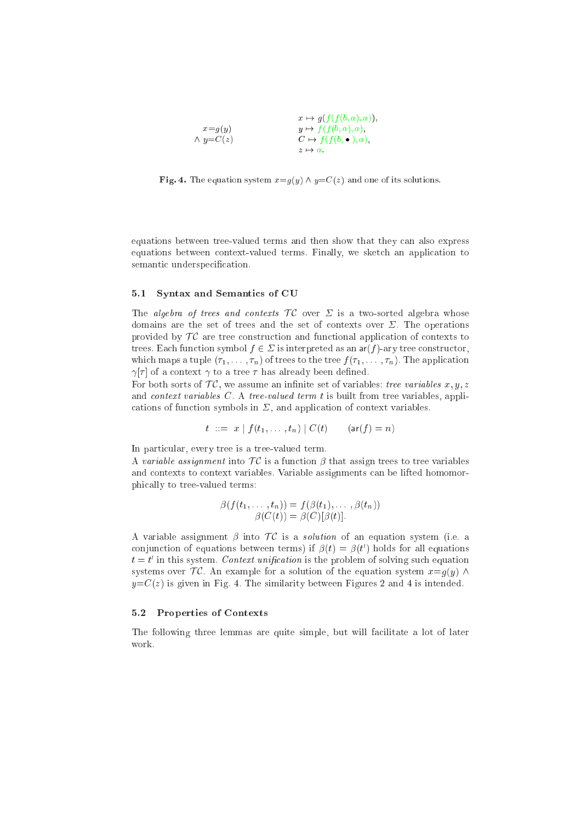|                   | $x \mapsto g(f(f(b,a),a)),$     |
|-------------------|---------------------------------|
| $x = g(y)$        | $y \mapsto f(f(b, a), a),$      |
| $\wedge y = C(z)$ | $C \mapsto f(f(b, \bullet), a)$ |
|                   | $z \mapsto a$                   |

Fig. 4. The equation system  $x=g(y) \wedge y=C(z)$  and one of its solutions.

equations between tree-valued terms and then show that they can also express equations between ontext-valued terms. Finally, we sket
h an appli
ation to semantic underspecification.

## 5.1 Syntax and Semanti
s of CU

The algebra of trees and contexts  $TC$  over  $\Sigma$  is a two-sorted algebra whose domains are the set of trees and the set of contexts over  $\Sigma$ . The operations provided by  $TC$  are tree construction and functional application of contexts to trees. Each function symbol  $f \in \Sigma$  is interpreted as an  $ar(f)$ -ary tree constructor, which maps a tuple  $(\tau_1, \ldots, \tau_n)$  of trees to the tree  $f(\tau_1, \ldots, \tau_n)$ . The application  $\gamma[\tau]$  of a context  $\gamma$  to a tree  $\tau$  has already been defined.

For both sorts of  $\mathcal{TC}$ , we assume an infinite set of variables: tree variables  $x, y, z$ and ontext variables C. A tree-valued term <sup>t</sup> is built from tree variables, appli cations of function symbols in  $\Sigma$ , and application of context variables.

$$
t ::= x | f(t_1, ..., t_n) | C(t)
$$
 (ar $(f) = n)$ 

In particular, every tree is a tree-valued term.

A variable assignment into  $TC$  is a function  $\beta$  that assign trees to tree variables and ontexts to ontext variables. Variable assignments an be lifted homomorphi
ally to tree-valued terms:

$$
\beta(f(t_1,\ldots,t_n)) = f(\beta(t_1),\ldots,\beta(t_n))
$$

$$
\beta(C(t)) = \beta(C)[\beta(t)].
$$

A variable assignment  $\beta$  into  $\mathcal{TC}$  is a *solution* of an equation system (i.e. a conjunction of equations between terms) if  $p(t) = p(t)$  noigs for all equations  $t = t$  in this system. Context unification is the problem of solving such equation systems over  $\mathcal{TC}$ . An example for a solution of the equation system  $x=q(y) \wedge$  $y=C(z)$  is given in Fig. 4. The similarity between Figures 2 and 4 is intended.

## 5.2 Properties of Contexts

The following three lemmas are quite simple, but will fa
ilitate a lot of later work.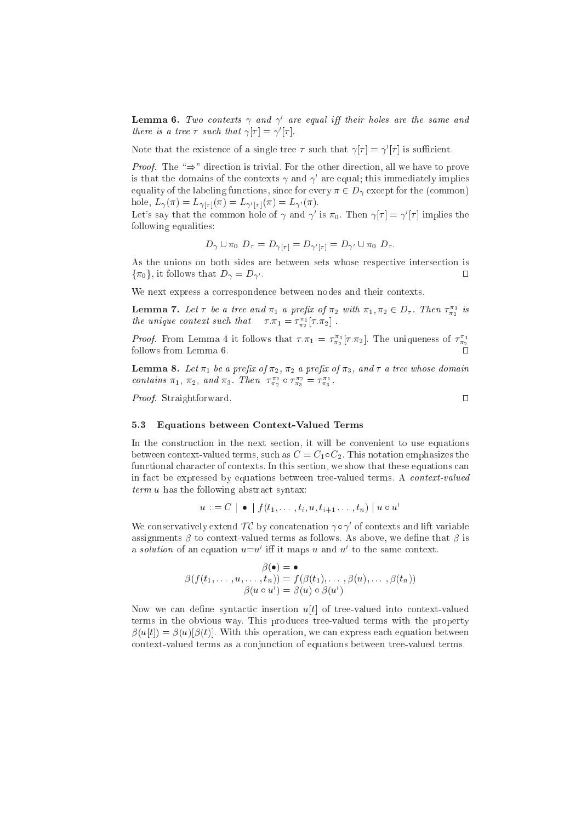**Lemma 6.** Two contexts  $\gamma$  and  $\gamma'$  are equal iff their holes are the same and there is a tree  $\tau$  such that  $\gamma[\tau] = \gamma'[\tau]$ .

Note that the existence of a single tree  $\tau$  such that  $\gamma[\tau] = \gamma'[\tau]$  is sufficient.

*Proof.* The " $\Rightarrow$ " direction is trivial. For the other direction, all we have to prove is that the domains of the contexts  $\gamma$  and  $\gamma'$  are equal; this immediately implies equality of the labeling functions, since for every  $\pi \in D_{\gamma}$  except for the (common) hole,  $L_{\gamma}(\pi) = L_{\gamma[\tau]}(\pi) = L_{\gamma'[\tau]}(\pi) = L_{\gamma'}(\pi)$ .

Let's say that the common hole of  $\gamma$  and  $\gamma'$  is  $\pi_0$ . Then  $\gamma[\tau] = \gamma'[\tau]$  implies the following equalities:

$$
D_\gamma\cup\pi_0~D_\tau=D_{\gamma[\tau]}=D_{\gamma'[\tau]}=D_{\gamma'}\cup\pi_0~D_\tau.
$$

As the unions on both sides are between sets whose respective intersection is  $\{\pi_0\}$ , it follows that  $D_{\gamma} = D_{\gamma'}$ .  $\Box$ 

We next express a correspondence between nodes and their contexts.

**Lemma 7.** Let  $\tau$  be a tree and  $\pi_1$  a prefix of  $\pi_2$  with  $\pi_1, \pi_2 \in D_{\tau}$ . Then  $\tau_{\pi_2}^{\pi_1}$  is the unique context such that  $\tau \cdot \pi_1 = \tau_{\pi_2}^{\pi_1} [\tau \cdot \pi_2]$ .

*Proof.* From Lemma 4 it follows that  $\tau \cdot \pi_1 = \tau_{\pi_2}^{\pi_1} [\tau \cdot \pi_2]$ . The uniqueness of  $\tau_{\pi_2}^{\pi_1}$ follows from Lemma 6.

**Lemma 8.** Let  $\pi_1$  be a prefix of  $\pi_2$ ,  $\pi_2$  a prefix of  $\pi_3$ , and  $\tau$  a tree whose domain contains  $\pi_1$ ,  $\pi_2$ , and  $\pi_3$ . Then  $\tau_{\pi_2}^{\pi_1} \circ \tau_{\pi_3}^{\pi_2} = \tau_{\pi_3}^{\pi_1}$ 

Proof. Straightforward.

## $\Box$

#### **Equations between Context-Valued Terms**  $5.3$

In the construction in the next section, it will be convenient to use equations between context-valued terms, such as  $C = C_1 \circ C_2$ . This notation emphasizes the functional character of contexts. In this section, we show that these equations can in fact be expressed by equations between tree-valued terms. A context-valued  $term u$  has the following abstract syntax:

$$
u ::= C \mid \bullet \mid f(t_1, \ldots, t_i, u, t_{i+1}, \ldots, t_n) \mid u \circ u'
$$

We conservatively extend  $TC$  by concatenation  $\gamma \circ \gamma'$  of contexts and lift variable assignments  $\beta$  to context-valued terms as follows. As above, we define that  $\beta$  is a *solution* of an equation  $u=u'$  iff it maps u and u' to the same context.

$$
\beta(\bullet) = \bullet
$$
  
\n
$$
\beta(f(t_1, \ldots, u, \ldots, t_n)) = f(\beta(t_1), \ldots, \beta(u), \ldots, \beta(t_n))
$$
  
\n
$$
\beta(u \circ u') = \beta(u) \circ \beta(u')
$$

Now we can define syntactic insertion  $u[t]$  of tree-valued into context-valued terms in the obvious way. This produces tree-valued terms with the property  $\beta(u[t]) = \beta(u)[\beta(t)]$ . With this operation, we can express each equation between context-valued terms as a conjunction of equations between tree-valued terms.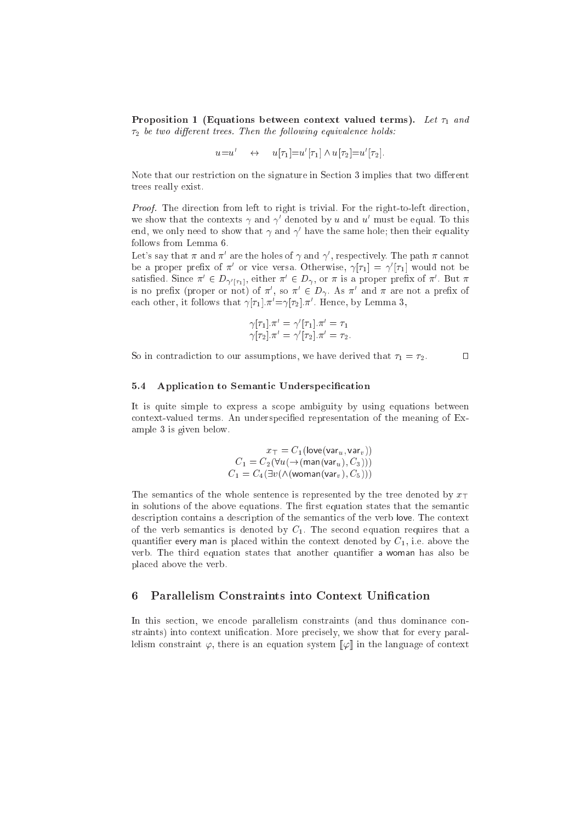Proposition 1 (Equations between context valued terms). Let  $\tau_1$  and  $\tau_2$  be two different trees. Then the following equivalence holds:

$$
u=u' \quad \leftrightarrow \quad u[\tau_1]=u'[\tau_1] \wedge u[\tau_2]=u'[\tau_2].
$$

Note that our restriction on the signature in Section 3 implies that two different trees really exist.

Proof. The direction from left to right is trivial. For the right-to-left direction, we show that the contexts  $\gamma$  and  $\gamma$  -denoted by  $u$  and  $u$  -must be equal. To this end, we only need to show that  $\gamma$  and  $\gamma$  -nave the same hole; then their equality follows from Lemma 6.

Let's say that  $\pi$  and  $\pi'$  are the holes of  $\gamma$  and  $\gamma'$ , respectively. The path  $\pi$  cannot be a proper prenx of  $\pi$  or vice versa. Otherwise,  $\gamma|\tau_1| = \gamma |\tau_1|$  would not be satisfied. Since  $\pi \in D_{\gamma'[ \tau_1 ]}$ , either  $\pi \in D_\gamma$ , or  $\pi$  is a proper prefix of  $\pi$  . But  $\pi$ is no prenx (proper or not) of  $\pi$  , so  $\pi$   $\in$   $D_{\gamma}$ . As  $\pi$  and  $\pi$  are not a prenx of each other, it follows that  $\gamma |\tau_1| . \pi \equiv \gamma |\tau_2| . \pi$  . Hence, by Lemma 5,

$$
\gamma[\tau_1].\pi' = \gamma'[\tau_1].\pi' = \tau_1
$$
  

$$
\gamma[\tau_2].\pi' = \gamma'[\tau_2].\pi' = \tau_2.
$$

So in contradiction to our assumptions, we have derived that  $\tau_1 = \tau_2$ .

#### 5.4 Application to Semantic Underspecification

It is quite simple to express a s
ope ambiguity by using equations between context-valued terms. An underspecified representation of the meaning of Example 3 is given below.

$$
x_T = C_1(\text{love}(var_u, var_v))
$$
  
\n
$$
C_1 = C_2(\forall u(\rightarrow(\text{man}(var_u), C_3)))
$$
  
\n
$$
C_1 = C_4(\exists v(\land(\text{woman}(var_v), C_5)))
$$

The semantics of the whole sentence is represented by the tree denoted by  $x_{\perp}$ in solutions of the above equations. The first equation states that the semantic description contains a description of the semantics of the verb love. The context of the verb semantics is denoted by  $C_1$ . The second equation requires that a quantifier every man is placed within the context denoted by  $C_1$ , i.e. above the verb. The third equation states that another quantifier a woman has also be pla
ed above the verb.

#### Parallelism Constraints into Context Unification 6

In this section, we encode parallelism constraints (and thus dominance constraints) into context unification. More precisely, we show that for every parallelism constraint  $\varphi$ , there is an equation system  $[\varphi]$  in the language of context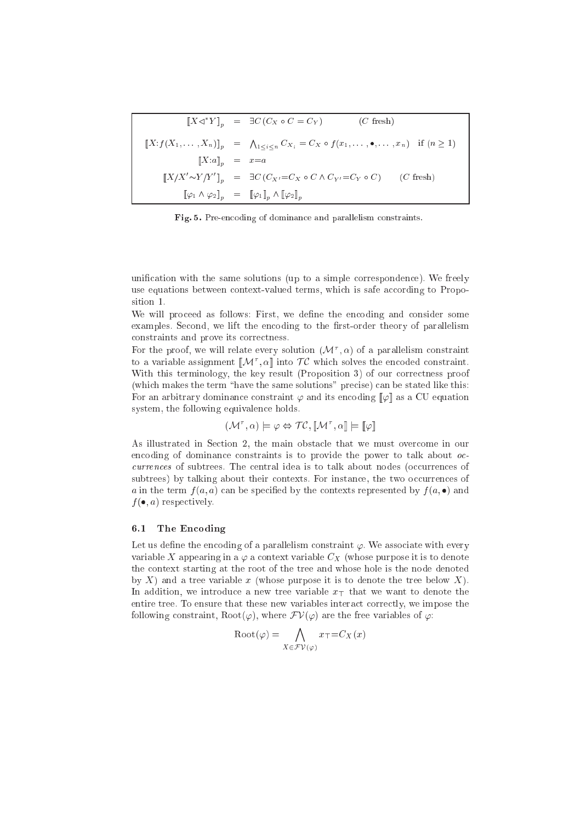|                                     | $\llbracket X \triangleleft^* Y \rrbracket_n = \exists C (C_X \circ C = C_Y)$<br>$(C \text{ fresh})$                                               |  |
|-------------------------------------|----------------------------------------------------------------------------------------------------------------------------------------------------|--|
|                                     | $\llbracket X : f(X_1,\ldots,X_n) \rrbracket_p = \bigwedge_{1 \leq i \leq n} C_{X_i} = C_X \circ f(x_1,\ldots,\bullet,\ldots,x_n)$ if $(n \geq 1)$ |  |
| $\llbracket X:a \rrbracket_n = x=a$ |                                                                                                                                                    |  |
|                                     | $\llbracket X/X' \sim Y/Y' \rrbracket_n = \exists C (C_{X'} = C_X \circ C \land C_{Y'} = C_Y \circ C)$ (C fresh)                                   |  |
|                                     | $[\![\varphi_1 \wedge \varphi_2]\!]_p = [\![\varphi_1]\!]_p \wedge [\![\varphi_2]\!]_p$                                                            |  |

Fig. 5. Pre-encoding of dominance and parallelism constraints

unification with the same solutions (up to a simple correspondence). We freely use equations between context-valued terms, which is safe according to Proposition 1.

We will proceed as follows: First, we define the encoding and consider some examples. Second, we lift the encoding to the first-order theory of parallelism constraints and prove its correctness.

For the proof, we will relate every solution  $(\mathcal{M}^{\tau}, \alpha)$  of a parallelism constraint to a variable assignment  $[\![\mathcal{M}^\tau,\alpha]\!]$  into  $\mathcal{T}\mathcal{C}$  which solves the encoded constraint. With this terminology, the key result (Proposition 3) of our correctness proof (which makes the term "have the same solutions" precise) can be stated like this: For an arbitrary dominance constraint  $\varphi$  and its encoding  $\llbracket \varphi \rrbracket$  as a CU equation system, the following equivalence holds.

 $(\mathcal{M}^{\tau}, \alpha) \models \varphi \Leftrightarrow \mathcal{TC}, \llbracket \mathcal{M}^{\tau}, \alpha \rrbracket \models \llbracket \varphi \rrbracket$ 

As illustrated in Section 2, the main obstacle that we must overcome in our encoding of dominance constraints is to provide the power to talk about occurrences of subtrees. The central idea is to talk about nodes (occurrences of subtrees) by talking about their contexts. For instance, the two occurrences of a in the term  $f(a, a)$  can be specified by the contexts represented by  $f(a, \bullet)$  and  $f(\bullet, a)$  respectively.

#### $6.1$ The Encoding

Let us define the encoding of a parallelism constraint  $\varphi$ . We associate with every variable X appearing in a  $\varphi$  a context variable  $C_X$  (whose purpose it is to denote the context starting at the root of the tree and whose hole is the node denoted by X) and a tree variable x (whose purpose it is to denote the tree below X). In addition, we introduce a new tree variable  $x_{\top}$  that we want to denote the entire tree. To ensure that these new variables interact correctly, we impose the following constraint, Root( $\varphi$ ), where  $\mathcal{F}V(\varphi)$  are the free variables of  $\varphi$ .

$$
\text{Root}(\varphi) = \bigwedge_{X \in \mathcal{FV}(\varphi)} x_T = C_X(x)
$$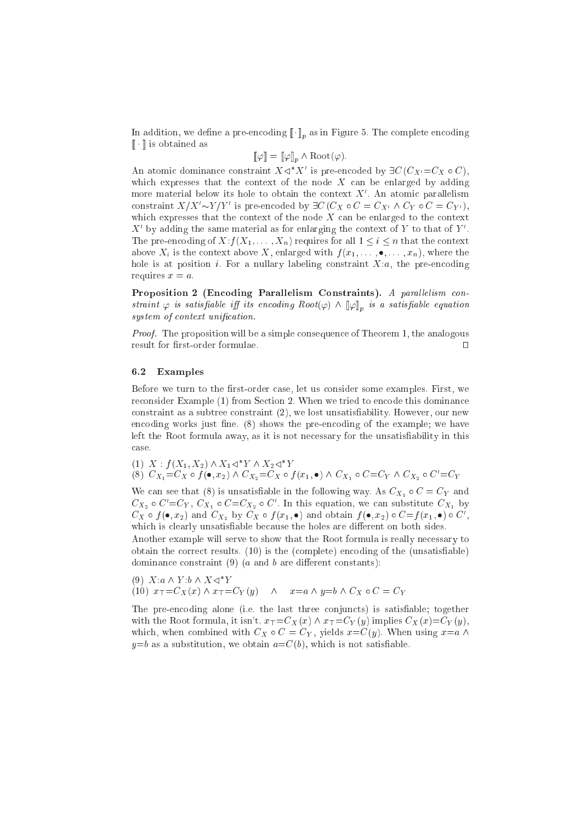In addition, we define a part case and  $\mathbb{L}$   $\mathbb{I}_0$  as in Figure 3. The casepare case and  $\lbrack\! \lbrack\cdot\rbrack\! \rbrack$  is obtained as

$$
\llbracket \varphi \rrbracket = \llbracket \varphi \rrbracket_p \wedge \text{Root}(\varphi).
$$

An atomic dominance constraint  $A \triangleleft A$  is pre-encoded by  $\exists \bigcup (C_{X'} = C_{X} \circ C),$ which expresses that the context of the node  $X$  can be enlarged by adding more material below its noie to obtain the context  $\Lambda$  . An atomic parallelism constraint  $X/X \sim Y/Y$  is pre-encoded by  $\exists C (C_X \circ C = C_{X'} \wedge C_Y \circ C = C_{Y'}),$ which expresses that the context of the node  $X$  can be enlarged to the context  $\Lambda$  -by adding the same material as for enlarging the context of  $Y$  to that of  $Y$  . The pre-encoding of  $X: f(X_1, \ldots, X_n)$  requires for all  $1 \leq i \leq n$  that the context above  $X_i$  is the context above X, enlarged with  $f(x_1, \ldots, \bullet, \ldots, x_n)$ , where the hole is at position *i*. For a nullary labeling constraint  $X:a$ , the pre-encoding requires  $x = a$ .

Proposition 2 (Encoding Parallelism Constraints). A parallelism constraint  $\varphi$  is satisfiable iff its encoaing Koot $(\varphi)$   $\wedge$   $\llbracket \varphi \rrbracket_p$  is a satisfiable equation system of context unification.

Proof. The proposition will be a simple consequence of Theorem 1, the analogous result for first-order formulae.  $\Box$ 

#### 6.2 Examples

Before we turn to the first-order case, let us consider some examples. First, we reconsider Example (1) from Section 2. When we tried to encode this dominance constraint as a subtree constraint (2), we lost unsatisfiability. However, our new encoding works just fine. (8) shows the pre-encoding of the example; we have left the Root formula away, as it is not necessary for the unsatisfiability in this ase.

 $(1)$   $\Lambda$  :  $J(\Lambda_1, \Lambda_2)$   $\wedge$   $\Lambda_1 \triangleleft$   $\Lambda$   $\wedge$   $\Lambda_2 \triangleleft$   $\Lambda$ (8)  $C_{X_1}=C_X \circ f(\bullet, x_2) \wedge C_{X_2}=C_X \circ f(x_1, \bullet) \wedge C_{X_1} \circ C=C_Y \wedge C_{X_2} \circ C'=C_Y$ 

We can see that (8) is unsatisfiable in the following way. As  $C_{X_1} \circ C = C_Y$  and  $\mathcal{C}_{X_2} \circ \mathcal{C} = \mathcal{C}_{Y}, \mathcal{C}_{X_1} \circ \mathcal{C} = \mathcal{C}_{X_2} \circ \mathcal{C}$  . In this equation, we can substitute  $\mathcal{C}_{X_1}$  by  $\iota_{X} \circ f(\bullet,x_{2})$  and  $\iota_{X_{2}}$  by  $\iota_{X} \circ f(x_{1},\bullet)$  and obtain  $f(\bullet,x_{2}) \circ \iota = f(x_{1},\bullet) \circ \iota$  , which is clearly unsatisfiable because the holes are different on both sides.

Another example will serve to show that the Root formula is really ne
essary to obtain the orre
t results. (10) is the (
omplete) en
oding of the (unsatisable) dominance constraint  $(9)$  (a and b are different constants):

 $(9)$   $\Lambda$   $a \wedge Y$   $\cup$   $\wedge$   $\Lambda$   $\triangleleft$   $Y$ (10)  $x_{\overline{1}}=C_X(x) \wedge x_{\overline{1}}=C_Y(y) \wedge x=a \wedge y=b \wedge C_X \circ C=C_Y$ 

The pre-encoding alone (i.e. the last three conjuncts) is satisfiable; together with the Root formula, it isn't.  $x_{\top} = C_X(x) \wedge x_{\top} = C_Y(y)$  implies  $C_X(x) = C_Y(y)$ , which, when combined with  $C_X \circ C = C_Y$ , yields  $x = C(y)$ . When using  $x=a \wedge$  $y=b$  as a substitution, we obtain  $a=C(b)$ , which is not satisfiable.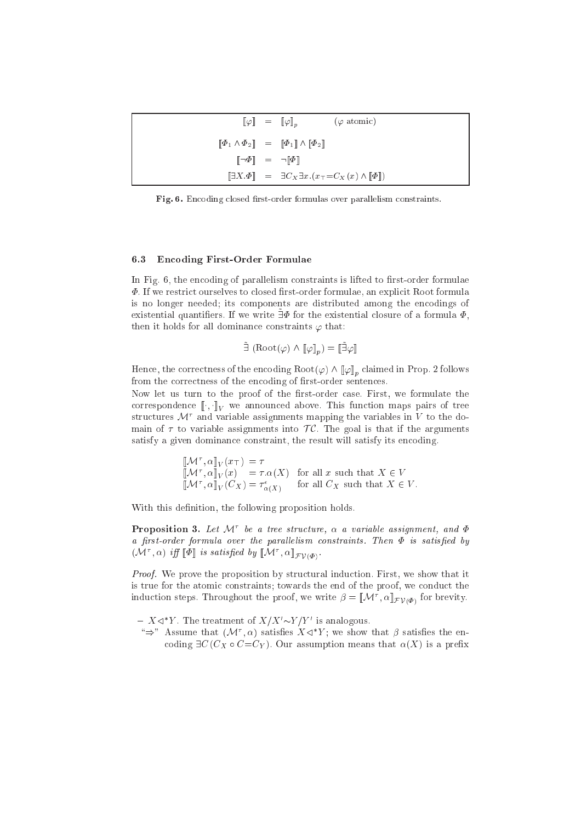|                                                                             | $\llbracket \varphi \rrbracket = \llbracket \varphi \rrbracket_n$<br>$(\varphi \text{ atomic})$ |
|-----------------------------------------------------------------------------|-------------------------------------------------------------------------------------------------|
|                                                                             | $[\![\Phi_1 \wedge \Phi_2]\!] = [\![\Phi_1]\!] \wedge [\![\Phi_2]\!]$                           |
| $\begin{bmatrix} \neg \Phi \end{bmatrix} = \neg \llbracket \Phi \rrbracket$ |                                                                                                 |
|                                                                             | $[\exists X \cdot \Phi] = \exists C_X \exists x . (x_\top = C_X(x) \land [\![\Phi]\!])$         |

Fig. 6. Encoding closed first-order formulas over parallelism constraints.

#### 6.3 En
oding First-Order Formulae

In Fig. 6, the encoding of parallelism constraints is lifted to first-order formulae  $\Phi$ . If we restrict ourselves to closed first-order formulae, an explicit Root formula is no longer needed; its components are distributed among the encodings of existential quantifiers. If we write  $\exists \Phi$  for the existential closure of a formula  $\Phi$ , then it holds for all dominance constraints  $\varphi$  that:

$$
\tilde{\exists} (\text{Root}(\varphi) \land [\![\varphi]\!]_n) = [\![\tilde{\exists}\varphi]\!]
$$

Hence, the correctness of the encoding  $\text{Root}(\varphi) \wedge \llbracket \varphi \rrbracket_p$  claimed in Prop. 2 follows from the correctness of the encoding of first-order sentences.

Now let us turn to the proof of the first-order case. First, we formulate the e function  $\mathbb{L} \setminus \mathbb{L} V$  we are announced above. This function maps  $\mathbb{L} \setminus \mathbb{L} V$  $\frac{1}{2}$  structures  $\mathcal{M}^+$  and variable assignments mapping the variables in  $V$  to the domain of  $\tau$  to variable assignments into  $\mathcal{TC}$ . The goal is that if the arguments satisfy a given dominance constraint, the result will satisfy its encoding.

$$
\begin{aligned}\n[\![\mathcal{M}^\tau, \alpha]\!]_V(x_\top) &= \tau \\
[\![\mathcal{M}^\tau, \alpha]\!]_V(x) &= \tau.\alpha(X) \text{ for all } x \text{ such that } X \in V \\
[\![\mathcal{M}^\tau, \alpha]\!]_V(C_X) &= \tau^\epsilon_{\alpha(X)} \text{ for all } C_X \text{ such that } X \in V.\n\end{aligned}
$$

 $-1$ ,  $-1$ ,  $\sim$ 

With this definition, the following proposition holds.

**Proposition 5.** Let  $\mathcal{M}$  be a tree structure,  $\alpha$  a variable assignment, and  $\Psi$ a first-order formula over the parallelism constraints. Then  $\Phi$  is satisfied by  $\mathcal{U}[\mathcal{U}]$ ,  $\alpha$  if  $\|\Psi\|$  is satisfied by  $\mathcal{U}[\mathcal{U}]$ ,  $\alpha\|_{\mathcal{I}(\mathcal{V})}$ .

 $\sim$   $\sim$   $\sim$   $\sim$ 

**F**  $\cdot$  1  $\cdot$ 

Proof. We prove the proposition by structural induction. First, we show that it is true for the atomic constraints; towards the end of the proof, we conduct the induction steps. Throughout the proof, we write  $\rho = ||\mathcal{M}||$ ,  $\alpha||_{\mathcal{L}(\mathcal{W})}$  for brevity.

 $=$   $X \triangleleft Y$ . The treatment of  $X/X \sim Y/Y$  is analogous.

 $\Rightarrow$  Assume that  $(\mathcal{M}, \alpha)$  satisfies  $\Lambda \leq \Upsilon$ ; we show that  $\rho$  satisfies the encoding  $\exists C (C_X \circ C = C_Y)$ . Our assumption means that  $\alpha(X)$  is a prefix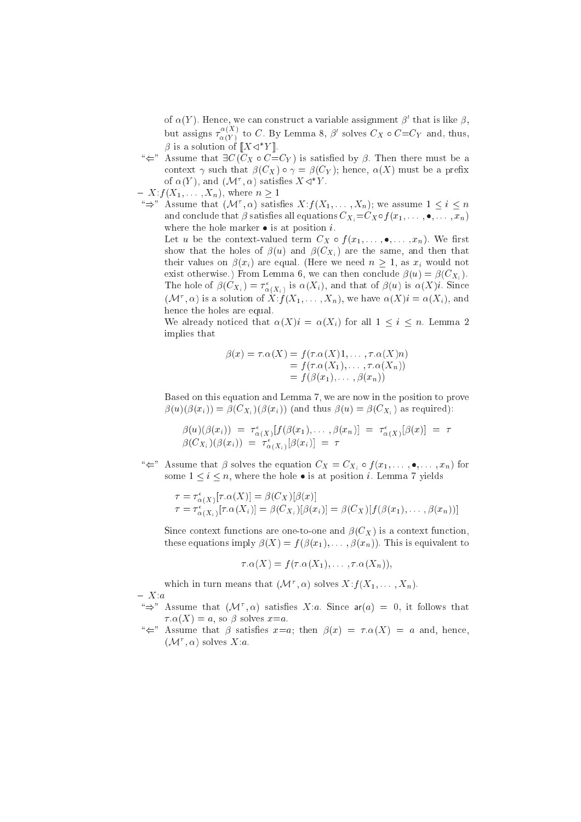of  $\alpha(\tau)$ . Hence, we can construct a variable assignment  $\rho$  that is like  $\rho,$ but assigns  $\tau_{\alpha}$  $(\alpha(Y)^\top$  to C  $\cdot$  by Lemma 8,  $\rho$  solves  $\cup_X\circ\cup=\cup_Y$  and, thus,  $\beta$  is a solution of  $\|A \leq T\|$ .

- $\mathscr{L}$  Assume that  $\exists C \, (\mathring{C}_X \circ \mathring{C}_X \subset C_Y)$  is satisfied by  $\beta$ . Then there must be a context  $\gamma$  such that  $\beta(C_X) \circ \gamma = \beta(C_Y)$ ; hence,  $\alpha(X)$  must be a prefix of  $\alpha(Y)$ , and  $(\mathcal{M}^*, \alpha)$  satisfies  $\Lambda \leq Y$ .
- $X: f(X_1, \ldots, X_n),$  where  $n \geq 1$

 $\Rightarrow$  Assume that  $(\mathcal{M}^*, \alpha)$  satisfies  $\Lambda: f(\Lambda_1, \ldots, \Lambda_n)$ ; we assume  $1 \leq i \leq n$ and conclude that  $\beta$  satisfies all equations  $C_{X_i} = C_X \circ f(x_1, \ldots, \bullet, \ldots, x_n)$ where the hole marker  $\bullet$  is at position *i*.

Let u be the context-valued term  $C_X \circ f(x_1, \ldots, \bullet, \ldots, x_n)$ . We first show that the holes of  $\beta(u)$  and  $\beta(C_{X_i})$  are the same, and then that their values on  $\beta(x_i)$  are equal. (Here we need  $n > 1$ , as  $x_i$  would not exist otherwise.) From Lemma 6, we can then conclude  $\beta(u) = \beta(C_{X_i})$ . The hole of  $p(CX_i) = \tau_{\alpha(X_i)}$  is  $\alpha(\lambda_i)$ , and that of  $p(u)$  is  $\alpha(\lambda_i)$ . Since (*N***i**,  $\alpha$ ) is a solution of  $X$ :  $J(\Lambda_1,\ldots,\Lambda_n)$ , we have  $\alpha(\Lambda_i) = \alpha(\Lambda_i)$ , and hence the holes are equal.

We already noticed that  $\alpha(X)i = \alpha(X_i)$  for all  $1 \leq i \leq n$ . Lemma 2 implies that

$$
\beta(x) = \tau.\alpha(X) = f(\tau.\alpha(X)1, \dots, \tau.\alpha(X)n)
$$
  
=  $f(\tau.\alpha(X_1), \dots, \tau.\alpha(X_n))$   
=  $f(\beta(x_1), \dots, \beta(x_n))$ 

Based on this equation and Lemma 7, we are now in the position to prove  $\beta(u)(\beta(x_i)) = \beta(C_{X_i})(\beta(x_i))$  (and thus  $\beta(u) = \beta(C_{X_i})$  as required):

$$
\beta(u)(\beta(x_i)) = \tau_{\alpha(X)}^{\epsilon}[f(\beta(x_1), \dots, \beta(x_n)] = \tau_{\alpha(X)}^{\epsilon}[\beta(x)] = \tau
$$
  

$$
\beta(C_{X_i})(\beta(x_i)) = \tau_{\alpha(X_i)}^{\epsilon}[\beta(x_i)] = \tau
$$

 $\mathscr{C} \leftarrow$ " Assume that  $\beta$  solves the equation  $C_X = C_{X_i} \circ f (x_1, \ldots, \bullet, \ldots, x_n)$  for some  $1 \leq i \leq n$ , where the hole  $\bullet$  is at position *i*. Lemma 7 yields

$$
\tau = \tau_{\alpha(X)}^{\epsilon} [\tau . \alpha(X)] = \beta(C_X)[\beta(x)]
$$
  
\n
$$
\tau = \tau_{\alpha(X_i)}^{\epsilon} [\tau . \alpha(X_i)] = \beta(C_X)[\beta(x_i)] = \beta(C_X)[f(\beta(x_1), \dots, \beta(x_n))]
$$

Since context functions are one-to-one and  $\beta(C_X)$  is a context function, these equations imply  $\beta(X) = f(\beta(x_1), \ldots, \beta(x_n))$ . This is equivalent to

 $\tau \cdot \alpha(X) = f(\tau \cdot \alpha(X_1), \ldots, \tau \cdot \alpha(X_n)),$ 

which in turn means that  $(\mathcal{N}(\cdot), \alpha)$  solves  $\Lambda: f(\Lambda_1, \ldots, \Lambda_n)$ .  $- X:a$ 

- $\Rightarrow$  Assume that (M,  $\alpha$ ) satisfies  $\Lambda.a$ . Since ar(a)  $\equiv 0$ , it follows that  $\tau \cdot \alpha(X) = a$ , so  $\beta$  solves  $x=a$ .
- " $\Leftarrow$ " Assume that  $\beta$  satisfies  $x=a$ ; then  $\beta(x) = \tau \cdot \alpha(X) = a$  and, hence,  $(\mathcal{N} \mathcal{C}, \alpha)$  solves  $\Lambda \mathcal{C}$ .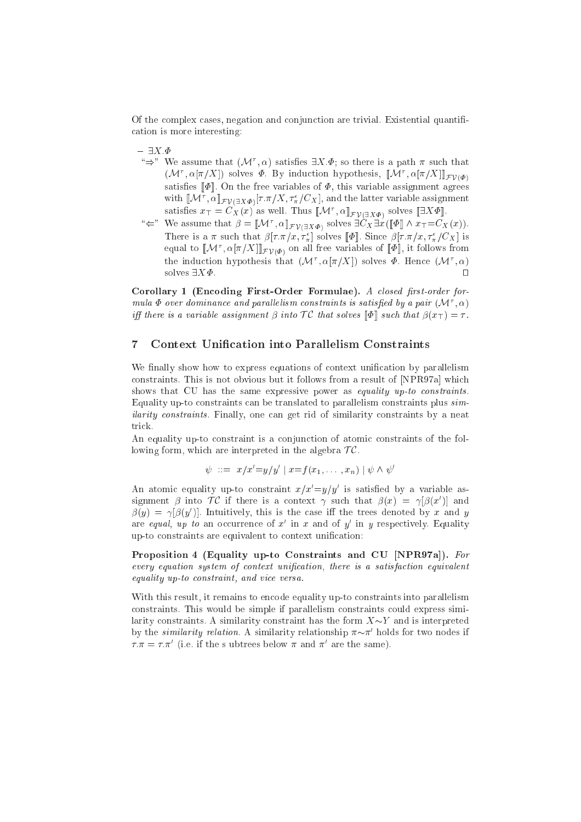Of the omplex ases, negation and onjun
tion are trivial. Existential quanti ation is more interesting:

 $- \exists X.\Phi$ 

- $\Rightarrow$  we assume that (N  $\alpha$ ) satisfies  $\exists x . \varPsi$ ; so there is a path  $\pi$  such that  $(|\mathcal{N}|, \alpha|\pi/\Lambda|)$  solves  $\Psi$ . By induction hypothesis,  $||\mathcal{N}|, |\alpha|\pi/\Lambda||$  $\sim$   $\sim$   $\sim$   $\sim$ satises of [[terms]] and free variables of the free variables of the free variables of  $\mathcal{A}$  and  $\mathcal{A}$ with  $\llbracket \mathcal{N} \Gamma, \alpha \rrbracket \mathcal{F} \mathcal{V}(\exists X \varPhi) \llbracket T . \pi / \Lambda, \tau^{\perp}_\pi / \mathbb{C} X \rrbracket,$  and the latter variable assignment satisfies  $x_{\top} = \mathcal{C}_X(x)$  as well. Thus  $\llbracket \mathcal{W} \cdot \cdot, \alpha \rrbracket_{\mathcal{F} \mathcal{V}(\exists X \Phi)}$  solves  $\llbracket \exists \Lambda \Psi \rrbracket$ .
- $\Leftarrow$  we assume that  $\rho = [M^{\dagger}, \alpha]_{\mathcal{F} \mathcal{V}(\exists X \Phi)}$  solves  $\exists C X \exists x (\Psi \Psi \wedge x \tau = C X(x)).$ There is a  $\pi$  such that  $\rho[\tau, \pi/x, \tau_{\pi}]$  solves  $\lbrack \lbrack \Psi \rbrack$ . Since  $\rho[\tau, \pi/x, \tau_{\pi}] \cup X$  is equal to  $\llbracket \mathcal{W} \rrbracket$ ,  $\alpha \llbracket \pi/\Delta \rrbracket_{\mathcal{FV}(\varPhi)}$  on all free variables of  $\llbracket \Psi \rrbracket$ , it follows from the induction hypothesis that  $(\mathcal{N}[\pi/\Lambda])$  solves  $\varPsi$ . Hence  $(\mathcal{N}[\pi,\alpha])$ solves  $\exists X \Phi$ .  $\Box$

Corollary 1 (Encoding First-Order Formulae). A closed first-order for $m$ ula  $\bm\Psi$  over aominance and parallelism constraints is satisfied by a pair  $(\mathcal{M}, \alpha)$ iff there is a variable assignment  $\beta$  into  $\mathcal{TC}$  that solves  $\llbracket \Phi \rrbracket$  such that  $\beta(x_\top) = \tau$ .

## 7 Context Unification into Parallelism Constraints

We finally show how to express equations of context unification by parallelism constraints. This is not obvious but it follows from a result of [NPR97a] which shows that CU has the same expressive power as *equality up-to constraints*. Equality up-to constraints can be translated to parallelism constraints plus  $sim$ ilarity constraints. Finally, one can get rid of similarity constraints by a neat trick.

An equality up-to constraint is a conjunction of atomic constraints of the following form, which are interpreted in the algebra  $TC$ .

$$
\psi
$$
 ::=  $x/x'=y/y'$  |  $x=f(x_1,...,x_n)$  |  $\psi \wedge \psi'$ 

An atomic equality up-to constraint  $x/x = y/y$  is satisfied by a variable assignment  $\rho$  into  $f \in \Pi$  there is a context  $\gamma$  such that  $\rho(x) = \gamma(\rho(x))$  and  $p(y) \equiv \gamma p(y)$ . Intuitively, this is the case in the trees denoted by x and y are *equal*,  $up$  to an occurrence of x in x and of y in y respectively. Equality up-to constraints are equivalent to context unification:

Proposition 4 (Equality up-to Constraints and CU [NPR97a]). For every equation system of context unification, there is a satisfaction equivalent equality up-to constraint, and vice versa.

With this result, it remains to encode equality up-to constraints into parallelism constraints. This would be simple if parallelism constraints could express similarity constraints. A similarity constraint has the form  $X \sim Y$  and is interpreted by the similarity relation. A similarity relationship  $\pi \sim \pi$  holds for two nodes if  $\tau.\pi = \tau.\pi$  (i.e. if the s ubtrees below  $\pi$  and  $\pi$  are the same).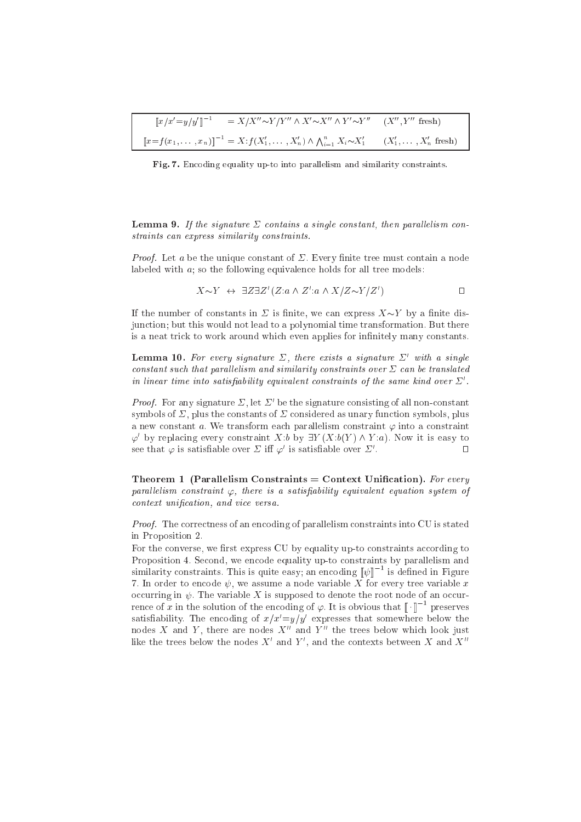| $\llbracket x/x' = y/y' \rrbracket^{-1}$ | $X = X/X'' \sim Y/Y'' \wedge X' \sim X'' \wedge Y' \sim Y''$ $(X'', Y''$ fresh                                                         |  |
|------------------------------------------|----------------------------------------------------------------------------------------------------------------------------------------|--|
|                                          | $[[x=f(x_1,\ldots,x_n)]]^{-1} = X \cdot f(X'_1,\ldots,X'_n) \wedge \bigwedge_{i=1}^n X_i \sim X'_1$ $(X'_1,\ldots,X'_n \text{ fresh})$ |  |

Fig. 7. Encoding equality up-to into parallelism and similarity constraints.

**Lemma 9.** If the signature  $\Sigma$  contains a single constant, then parallelism constraints can express similarity constraints.

*Proof.* Let a be the unique constant of  $\Sigma$ . Every finite tree must contain a node labeled with  $a$ ; so the following equivalence holds for all tree models:

$$
X \sim Y \leftrightarrow \exists Z \exists Z' (Z: a \wedge Z': a \wedge X/Z \sim Y/Z')
$$

If the number of constants in  $\Sigma$  is finite, we can express  $X \sim Y$  by a finite disjunction; but this would not lead to a polynomial time transformation. But there is a neat trick to work around which even applies for infinitely many constants.

**Lemma 10.** For every signature  $\Sigma$ , there exists a signature  $\Sigma'$  with a single constant such that parallelism and similarity constraints over  $\Sigma$  can be translated in linear time into satisfiability equivalent constraints of the same kind over  $\Sigma'$ .

*Proof.* For any signature  $\Sigma$ , let  $\Sigma'$  be the signature consisting of all non-constant symbols of  $\Sigma$ , plus the constants of  $\Sigma$  considered as unary function symbols, plus a new constant a. We transform each parallelism constraint  $\varphi$  into a constraint  $\varphi'$  by replacing every constraint X:b by  $\exists Y(X:b(Y) \wedge Y:a)$ . Now it is easy to see that  $\varphi$  is satisfiable over  $\Sigma$  iff  $\varphi'$  is satisfiable over  $\Sigma'$ .  $\Box$ 

Theorem 1 (Parallelism Constraints = Context Unification). For every parallelism constraint  $\varphi$ , there is a satisfiability equivalent equation system of context unification, and vice versa.

*Proof.* The correctness of an encoding of parallelism constraints into CU is stated in Proposition 2.

For the converse, we first express CU by equality up-to constraints according to Proposition 4. Second, we encode equality up-to constraints by parallelism and similarity constraints. This is quite easy; an encoding  $[\![\psi]\!]^{-1}$  is defined in Figure 7. In order to encode  $\psi$ , we assume a node variable X for every tree variable x occurring in  $\psi$ . The variable X is supposed to denote the root node of an occurrence of x in the solution of the encoding of  $\varphi$ . It is obvious that  $\llbracket \cdot \rrbracket^{-1}$  preserves satisfiability. The encoding of  $x/x'=y/y'$  expresses that somewhere below the nodes X and Y, there are nodes  $X''$  and  $Y''$  the trees below which look just like the trees below the nodes  $X'$  and  $Y'$ , and the contexts between X and  $X''$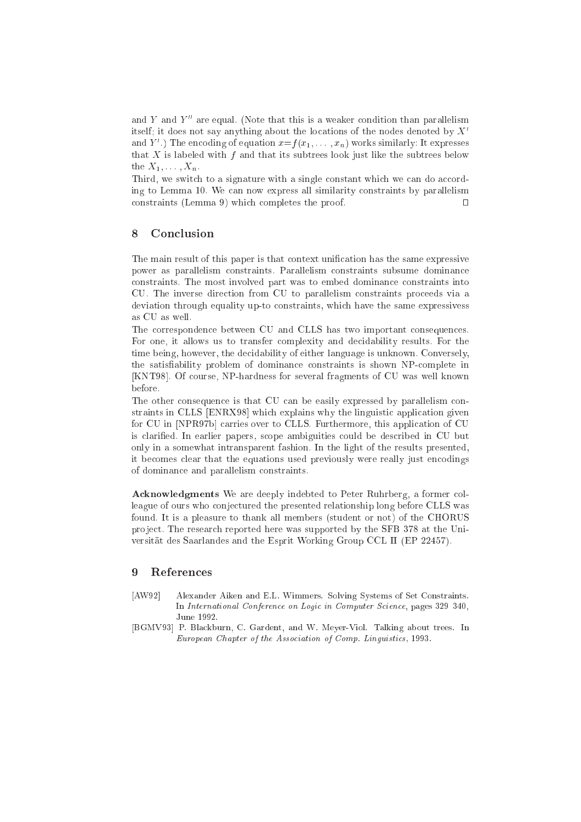and Y and  $Y''$  are equal. (Note that this is a weaker condition than parallelism itself; it does not say anything about the locations of the nodes denoted by  $X'$ and Y  $\,$  ) The encoding of equation  $x = f(x_1, \ldots, x_n)$  works similarly: It expresses that X is labeled with f and that its subtrees look just like the subtrees below the  $X_1, \ldots, X_n$ .

Third, we switch to a signature with a single constant which we can do according to Lemma 10. We an now express all similarity onstraints by parallelism  $constrains (Lemma 9) which completes the proof.$  $\Box$ 

## <sup>8</sup> Con
lusion

The main result of this paper is that context unification has the same expressive power as parallelism onstraints. Parallelism onstraints subsume dominan
e onstraints. The most involved part was to embed dominan
e onstraints into CU. The inverse dire
tion from CU to parallelism onstraints pro
eeds via a deviation through equality up-to onstraints, whi
h have the same expressivess as CU as well.

The orresponden
e between CU and CLLS has two important onsequen
es. For one, it allows us to transfer omplexity and de
idability results. For the time being, however, the decidability of either language is unknown. Conversely, the satisfiability problem of dominance constraints is shown NP-complete in [KNT98]. Of course, NP-hardness for several fragments of CU was well known before.

The other consequence is that CU can be easily expressed by parallelism constraints in CLLS [ENRX98] which explains why the linguistic application given for CU in [NPR97b] carries over to CLLS. Furthermore, this application of CU is laried. In earlier papers, s
ope ambiguities ould be des
ribed in CU but only in a somewhat intransparent fashion. In the light of the results presented, it becomes clear that the equations used previously were really just encodings of dominan
e and parallelism onstraints.

Acknowledgments We are deeply indebted to Peter Ruhrberg, a former colleague of ours who conjectured the presented relationship long before CLLS was found. It is a pleasure to thank all members (student or not) of the CHORUS project. The research reported here was supported by the SFB 378 at the Universitat des Saarlandes and the Esprit Working Group CCL II (EP 22457).

- [AW92] Alexander Aiken and E.L. Wimmers. Solving Systems of Set Constraints. In International Conference on Logic in Computer Science, pages 329-340,
- [BGMV93] P. Blackburn, C. Gardent, and W. Meyer-Viol. Talking about trees. In European Chapter of the Association of Comp. Linguistics, 1993.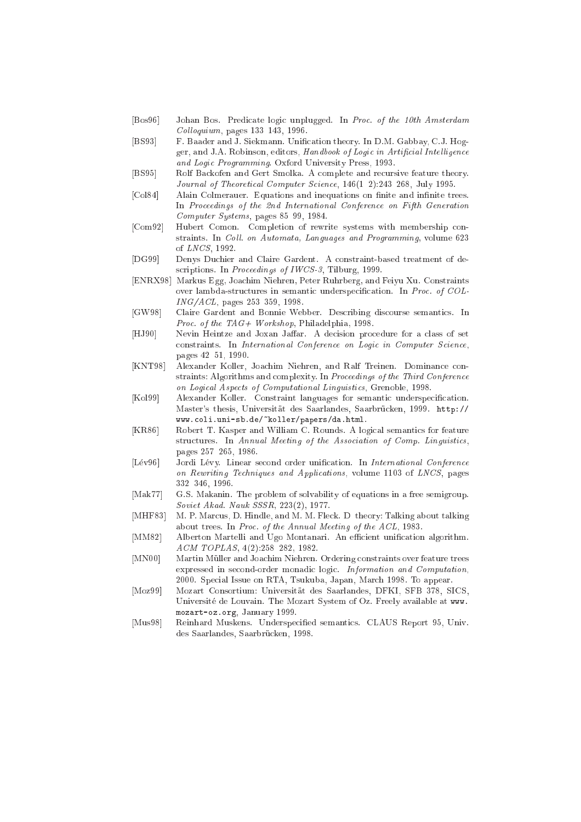- [Bos96] Johan Bos. Predicate logic unplugged. In Proc. of the 10th Amsterdam  $Colloquium$ , pages  $133-143$ , 1996.
- [BS93] F. Baader and J. Siekmann. Unification theory. In D.M. Gabbay, C.J. Hogger, and J.A. Robinson, editors, Handbook of Logic in Artificial Intelligence and Logic Programming. Oxford University Press, 1993.
- [BS95] Rolf Backofen and Gert Smolka. A complete and recursive feature theory. Journal of Theoretical Computer Science, 146(1-2):243-268, July 1995.
- [Col84] Alain Colmerauer. Equations and inequations on finite and infinite trees. In Proceedings of the 2nd International Conference on Fifth Generation Computer Systems, pages  $85-99$ , 1984.
- [Com92] Hubert Comon. Completion of rewrite systems with membership constraints. In Coll. on Automata, Languages and Programming, volume 623 of LNCS, 1992.
- [DG99] Denys Duchier and Claire Gardent. A constraint-based treatment of descriptions. In Proceedings of IWCS-3, Tilburg, 1999.
- [ENRX98] Markus Egg, Joachim Niehren, Peter Ruhrberg, and Feiyu Xu. Constraints over lambda-structures in semantic underspecification. In Proc. of COL- $ING/ACL$ , pages 253-359, 1998.
- [GW98] Claire Gardent and Bonnie Webber. Describing discourse semantics. In Proc. of the TAG+ Workshop, Philadelphia, 1998.
- [HJ90] Nevin Heintze and Joxan Jaffar. A decision procedure for a class of set constraints. In International Conference on Logic in Computer Science, pages 42-51, 1990.
- [KNT98] Alexander Koller, Joachim Niehren, and Ralf Treinen. Dominance constraints: Algorithms and complexity. In Proceedings of the Third Conference on Logical Aspects of Computational Linguistics, Grenoble, 1998.
- [Kol99] Alexander Koller. Constraint languages for semantic underspecification. Master's thesis, Universität des Saarlandes, Saarbrücken, 1999. http:// www.
oli.uni-sb.de/~koller/papers/da.html.
- [KR86] Robert T. Kasper and William C. Rounds. A logical semantics for feature structures. In Annual Meeting of the Association of Comp. Linguistics, pages 257-265, 1986.
- [Lév96] Jordi Lévy. Linear second order unification. In International Conference on Rewriting Techniques and Applications, volume 1103 of LNCS, pages 332-346, 1996.
- [Mak77] G.S. Makanin. The problem of solvability of equations in a free semigroup. Soviet Akad. Nauk SSSR, 223(2), 1977.
- [MHF83] M. P. Marcus, D. Hindle, and M. M. Fleck. D-theory: Talking about talking about trees. In Proc. of the Annual Meeting of the ACL, 1983.
- [MM82] Alberton Martelli and Ugo Montanari. An efficient unification algorithm.  $ACM$   $TOPLAS$ ,  $4(2):258-282$ , 1982.
- [MN00] Martin Müller and Joachim Niehren. Ordering constraints over feature trees expressed in second-order monadic logic. Information and Computation, 2000. Spe
ial Issue on RTA, Tsukuba, Japan, Mar
h 1998. To appear.
- [Moz99] Mozart Consortium: Universität des Saarlandes, DFKI, SFB 378, SICS, Universite de Louvain. The Mozart System of Oz. Freely available at www. mozart-oz.org, January 1999.
- [Mus98] Reinhard Muskens. Underspecified semantics. CLAUS Report 95, Univ. des Saarlandes, Saarbrücken, 1998.